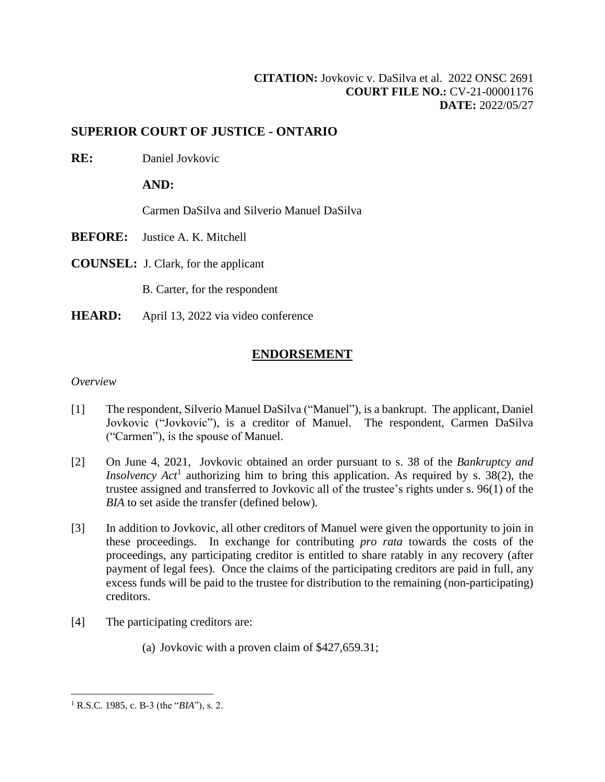# **SUPERIOR COURT OF JUSTICE - ONTARIO**

**RE:** Daniel Jovkovic

**AND:**

Carmen DaSilva and Silverio Manuel DaSilva

- **BEFORE:** Justice A. K. Mitchell
- **COUNSEL:** J. Clark, for the applicant

B. Carter, for the respondent

**HEARD:** April 13, 2022 via video conference

# **ENDORSEMENT**

## *Overview*

- [1] The respondent, Silverio Manuel DaSilva ("Manuel"), is a bankrupt. The applicant, Daniel Jovkovic ("Jovkovic"), is a creditor of Manuel. The respondent, Carmen DaSilva ("Carmen"), is the spouse of Manuel.
- [2] On June 4, 2021, Jovkovic obtained an order pursuant to s. 38 of the *Bankruptcy and Insolvency Act*<sup>1</sup> authorizing him to bring this application. As required by s. 38(2), the trustee assigned and transferred to Jovkovic all of the trustee's rights under s. 96(1) of the *BIA* to set aside the transfer (defined below)*.*
- [3] In addition to Jovkovic, all other creditors of Manuel were given the opportunity to join in these proceedings. In exchange for contributing *pro rata* towards the costs of the proceedings, any participating creditor is entitled to share ratably in any recovery (after payment of legal fees). Once the claims of the participating creditors are paid in full, any excess funds will be paid to the trustee for distribution to the remaining (non-participating) creditors.
- [4] The participating creditors are:
	- (a) Jovkovic with a proven claim of \$427,659.31;

<sup>1</sup> R.S.C. 1985, c. B-3 (the "*BIA*"), s. 2.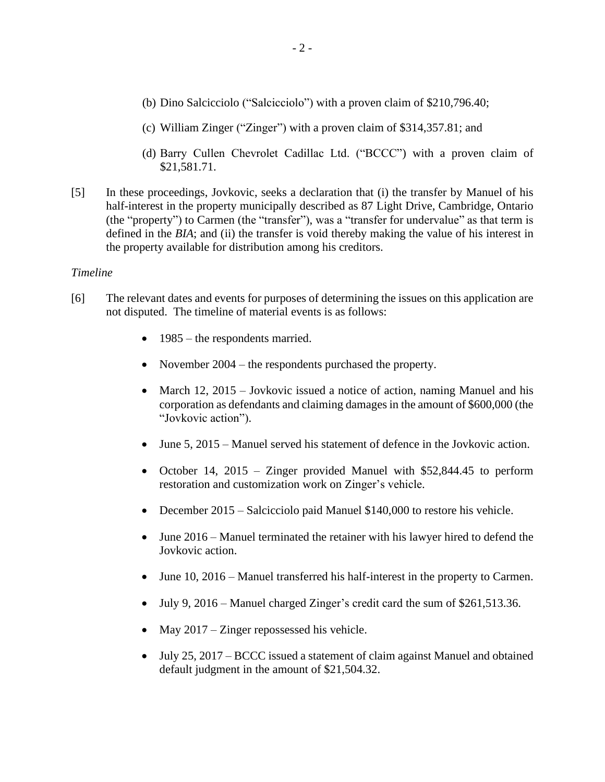- (b) Dino Salcicciolo ("Salcicciolo") with a proven claim of \$210,796.40;
- (c) William Zinger ("Zinger") with a proven claim of \$314,357.81; and
- (d) Barry Cullen Chevrolet Cadillac Ltd. ("BCCC") with a proven claim of \$21,581.71.
- [5] In these proceedings, Jovkovic, seeks a declaration that (i) the transfer by Manuel of his half-interest in the property municipally described as 87 Light Drive, Cambridge, Ontario (the "property") to Carmen (the "transfer"), was a "transfer for undervalue" as that term is defined in the *BIA*; and (ii) the transfer is void thereby making the value of his interest in the property available for distribution among his creditors.

### *Timeline*

- [6] The relevant dates and events for purposes of determining the issues on this application are not disputed. The timeline of material events is as follows:
	- 1985 the respondents married.
	- November 2004 the respondents purchased the property.
	- March 12, 2015 Jovkovic issued a notice of action, naming Manuel and his corporation as defendants and claiming damages in the amount of \$600,000 (the "Jovkovic action").
	- June 5, 2015 Manuel served his statement of defence in the Jovkovic action.
	- October 14, 2015 Zinger provided Manuel with \$52,844.45 to perform restoration and customization work on Zinger's vehicle.
	- December 2015 Salcicciolo paid Manuel \$140,000 to restore his vehicle.
	- June 2016 Manuel terminated the retainer with his lawyer hired to defend the Jovkovic action.
	- June 10, 2016 Manuel transferred his half-interest in the property to Carmen.
	- July 9, 2016 Manuel charged Zinger's credit card the sum of \$261,513.36.
	- May 2017 Zinger repossessed his vehicle.
	- July 25, 2017 BCCC issued a statement of claim against Manuel and obtained default judgment in the amount of \$21,504.32.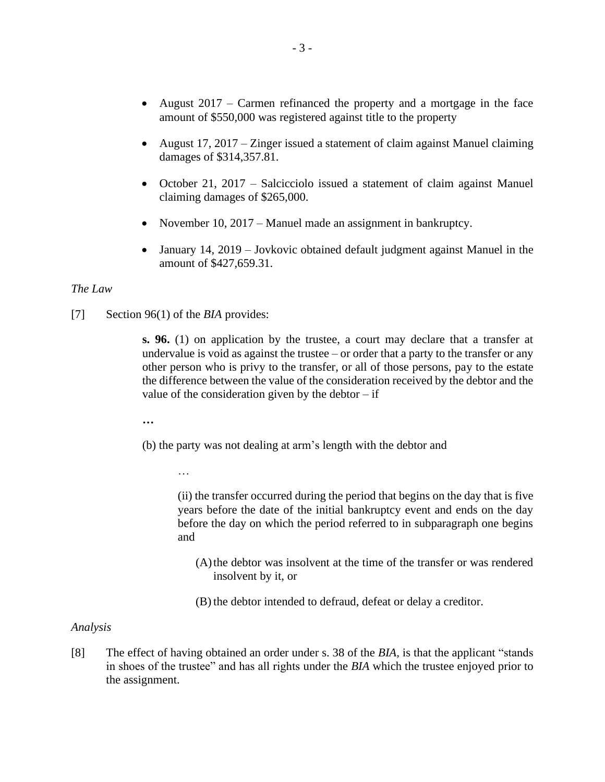- August 2017 Carmen refinanced the property and a mortgage in the face amount of \$550,000 was registered against title to the property
- August 17, 2017 Zinger issued a statement of claim against Manuel claiming damages of \$314,357.81.
- October 21, 2017 Salcicciolo issued a statement of claim against Manuel claiming damages of \$265,000.
- November 10, 2017 Manuel made an assignment in bankruptcy.
- January 14, 2019 Jovkovic obtained default judgment against Manuel in the amount of \$427,659.31.

### *The Law*

[7] Section 96(1) of the *BIA* provides:

…

**s. 96.** (1) on application by the trustee, a court may declare that a transfer at undervalue is void as against the trustee  $-$  or order that a party to the transfer or any other person who is privy to the transfer, or all of those persons, pay to the estate the difference between the value of the consideration received by the debtor and the value of the consideration given by the debtor  $-$  if

**…**

(b) the party was not dealing at arm's length with the debtor and

(ii) the transfer occurred during the period that begins on the day that is five years before the date of the initial bankruptcy event and ends on the day before the day on which the period referred to in subparagraph one begins and

- (A)the debtor was insolvent at the time of the transfer or was rendered insolvent by it, or
- (B) the debtor intended to defraud, defeat or delay a creditor.

#### *Analysis*

[8] The effect of having obtained an order under s. 38 of the *BIA,* is that the applicant "stands in shoes of the trustee" and has all rights under the *BIA* which the trustee enjoyed prior to the assignment.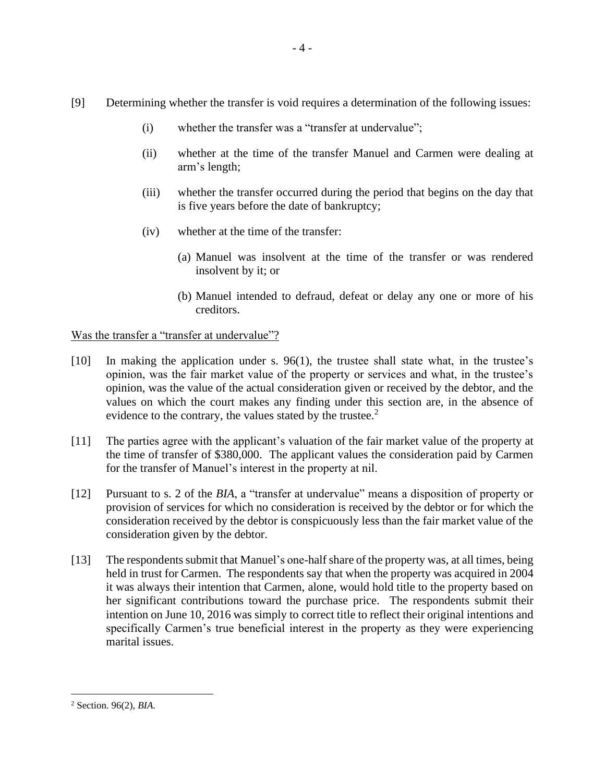- [9] Determining whether the transfer is void requires a determination of the following issues:
	- (i) whether the transfer was a "transfer at undervalue";
	- (ii) whether at the time of the transfer Manuel and Carmen were dealing at arm's length;
	- (iii) whether the transfer occurred during the period that begins on the day that is five years before the date of bankruptcy;
	- (iv) whether at the time of the transfer:
		- (a) Manuel was insolvent at the time of the transfer or was rendered insolvent by it; or
		- (b) Manuel intended to defraud, defeat or delay any one or more of his creditors.

## Was the transfer a "transfer at undervalue"?

- [10] In making the application under s. 96(1), the trustee shall state what, in the trustee's opinion, was the fair market value of the property or services and what, in the trustee's opinion, was the value of the actual consideration given or received by the debtor, and the values on which the court makes any finding under this section are, in the absence of evidence to the contrary, the values stated by the trustee. $2$
- [11] The parties agree with the applicant's valuation of the fair market value of the property at the time of transfer of \$380,000. The applicant values the consideration paid by Carmen for the transfer of Manuel's interest in the property at nil.
- [12] Pursuant to s. 2 of the *BIA*, a "transfer at undervalue" means a disposition of property or provision of services for which no consideration is received by the debtor or for which the consideration received by the debtor is conspicuously less than the fair market value of the consideration given by the debtor.
- [13] The respondents submit that Manuel's one-half share of the property was, at all times, being held in trust for Carmen. The respondents say that when the property was acquired in 2004 it was always their intention that Carmen, alone, would hold title to the property based on her significant contributions toward the purchase price. The respondents submit their intention on June 10, 2016 was simply to correct title to reflect their original intentions and specifically Carmen's true beneficial interest in the property as they were experiencing marital issues.

<sup>2</sup> Section. 96(2), *BIA.*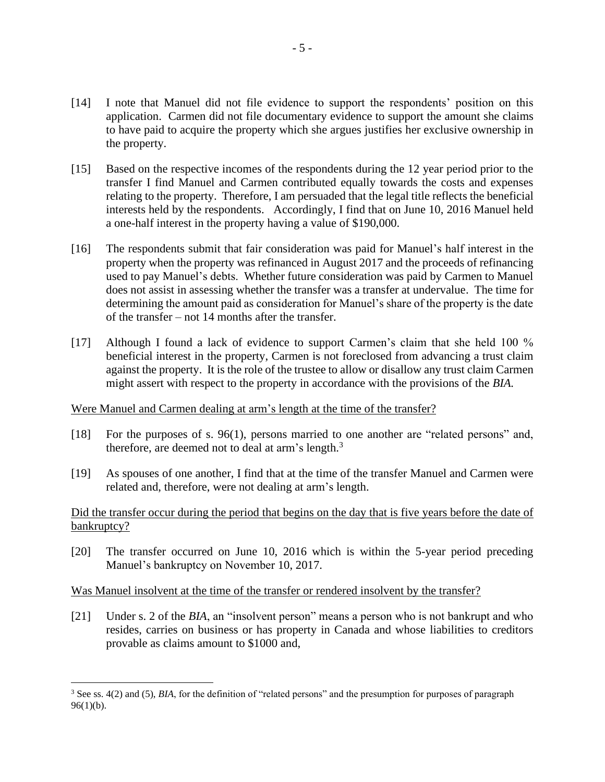- [14] I note that Manuel did not file evidence to support the respondents' position on this application. Carmen did not file documentary evidence to support the amount she claims to have paid to acquire the property which she argues justifies her exclusive ownership in the property.
- [15] Based on the respective incomes of the respondents during the 12 year period prior to the transfer I find Manuel and Carmen contributed equally towards the costs and expenses relating to the property. Therefore, I am persuaded that the legal title reflects the beneficial interests held by the respondents. Accordingly, I find that on June 10, 2016 Manuel held a one-half interest in the property having a value of \$190,000.
- [16] The respondents submit that fair consideration was paid for Manuel's half interest in the property when the property was refinanced in August 2017 and the proceeds of refinancing used to pay Manuel's debts. Whether future consideration was paid by Carmen to Manuel does not assist in assessing whether the transfer was a transfer at undervalue. The time for determining the amount paid as consideration for Manuel's share of the property is the date of the transfer – not 14 months after the transfer.
- [17] Although I found a lack of evidence to support Carmen's claim that she held 100 % beneficial interest in the property, Carmen is not foreclosed from advancing a trust claim against the property. It is the role of the trustee to allow or disallow any trust claim Carmen might assert with respect to the property in accordance with the provisions of the *BIA.*

## Were Manuel and Carmen dealing at arm's length at the time of the transfer?

- [18] For the purposes of s. 96(1), persons married to one another are "related persons" and, therefore, are deemed not to deal at arm's length.<sup>3</sup>
- [19] As spouses of one another, I find that at the time of the transfer Manuel and Carmen were related and, therefore, were not dealing at arm's length.

## Did the transfer occur during the period that begins on the day that is five years before the date of bankruptcy?

[20] The transfer occurred on June 10, 2016 which is within the 5-year period preceding Manuel's bankruptcy on November 10, 2017.

## Was Manuel insolvent at the time of the transfer or rendered insolvent by the transfer?

[21] Under s. 2 of the *BIA*, an "insolvent person" means a person who is not bankrupt and who resides, carries on business or has property in Canada and whose liabilities to creditors provable as claims amount to \$1000 and,

<sup>&</sup>lt;sup>3</sup> See ss. 4(2) and (5), *BIA*, for the definition of "related persons" and the presumption for purposes of paragraph  $96(1)(b)$ .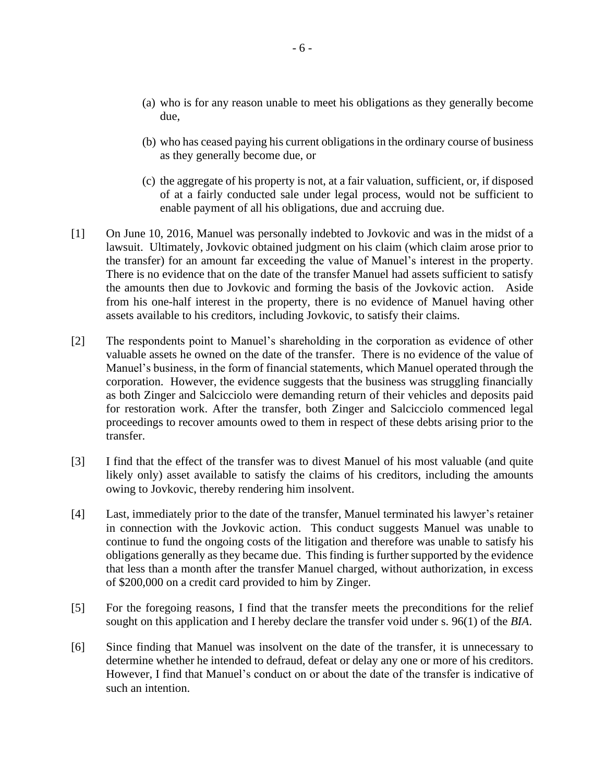- (a) who is for any reason unable to meet his obligations as they generally become due,
- (b) who has ceased paying his current obligations in the ordinary course of business as they generally become due, or
- (c) the aggregate of his property is not, at a fair valuation, sufficient, or, if disposed of at a fairly conducted sale under legal process, would not be sufficient to enable payment of all his obligations, due and accruing due.
- [1] On June 10, 2016, Manuel was personally indebted to Jovkovic and was in the midst of a lawsuit. Ultimately, Jovkovic obtained judgment on his claim (which claim arose prior to the transfer) for an amount far exceeding the value of Manuel's interest in the property. There is no evidence that on the date of the transfer Manuel had assets sufficient to satisfy the amounts then due to Jovkovic and forming the basis of the Jovkovic action. Aside from his one-half interest in the property, there is no evidence of Manuel having other assets available to his creditors, including Jovkovic, to satisfy their claims.
- [2] The respondents point to Manuel's shareholding in the corporation as evidence of other valuable assets he owned on the date of the transfer. There is no evidence of the value of Manuel's business, in the form of financial statements, which Manuel operated through the corporation. However, the evidence suggests that the business was struggling financially as both Zinger and Salcicciolo were demanding return of their vehicles and deposits paid for restoration work. After the transfer, both Zinger and Salcicciolo commenced legal proceedings to recover amounts owed to them in respect of these debts arising prior to the transfer.
- [3] I find that the effect of the transfer was to divest Manuel of his most valuable (and quite likely only) asset available to satisfy the claims of his creditors, including the amounts owing to Jovkovic, thereby rendering him insolvent.
- [4] Last, immediately prior to the date of the transfer, Manuel terminated his lawyer's retainer in connection with the Jovkovic action. This conduct suggests Manuel was unable to continue to fund the ongoing costs of the litigation and therefore was unable to satisfy his obligations generally as they became due. This finding is further supported by the evidence that less than a month after the transfer Manuel charged, without authorization, in excess of \$200,000 on a credit card provided to him by Zinger.
- [5] For the foregoing reasons, I find that the transfer meets the preconditions for the relief sought on this application and I hereby declare the transfer void under s. 96(1) of the *BIA*.
- [6] Since finding that Manuel was insolvent on the date of the transfer, it is unnecessary to determine whether he intended to defraud, defeat or delay any one or more of his creditors. However, I find that Manuel's conduct on or about the date of the transfer is indicative of such an intention.